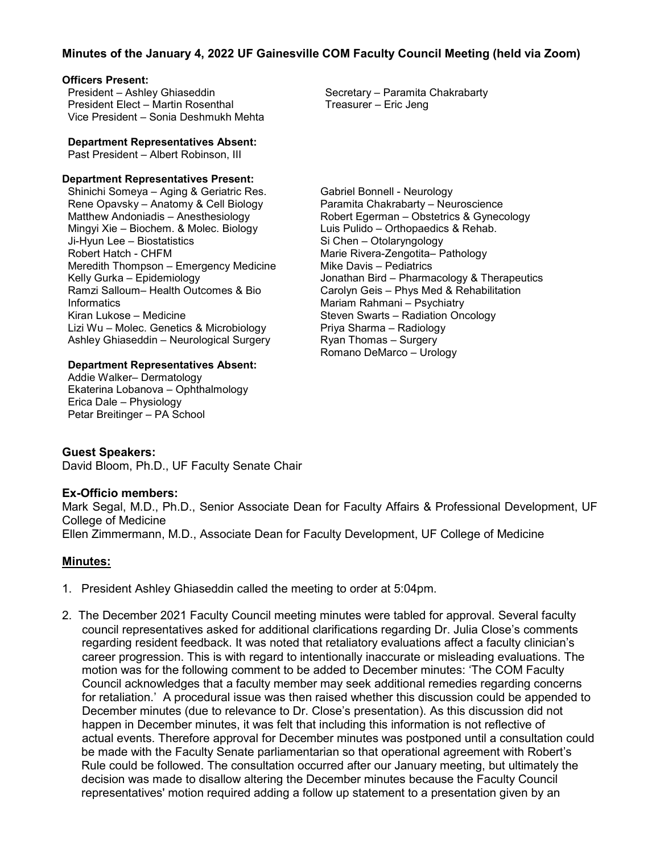# **Minutes of the January 4, 2022 UF Gainesville COM Faculty Council Meeting (held via Zoom)**

#### **Officers Present:**

President – Ashley Ghiaseddin President Elect – Martin Rosenthal Vice President – Sonia Deshmukh Mehta

**Department Representatives Absent:**

Past President – Albert Robinson, III

#### **Department Representatives Present:**

Shinichi Someya – Aging & Geriatric Res. Rene Opavsky – Anatomy & Cell Biology Matthew Andoniadis – Anesthesiology Mingyi Xie – Biochem. & Molec. Biology Ji-Hyun Lee – Biostatistics Robert Hatch - CHFM Meredith Thompson – Emergency Medicine Kelly Gurka – Epidemiology Ramzi Salloum– Health Outcomes & Bio **Informatics** Kiran Lukose – Medicine Lizi Wu – Molec. Genetics & Microbiology Ashley Ghiaseddin – Neurological Surgery

### **Department Representatives Absent:**

Addie Walker– Dermatology Ekaterina Lobanova – Ophthalmology Erica Dale – Physiology Petar Breitinger – PA School

Secretary – Paramita Chakrabarty Treasurer – Eric Jeng

Gabriel Bonnell - Neurology Paramita Chakrabarty – Neuroscience Robert Egerman – Obstetrics & Gynecology Luis Pulido – Orthopaedics & Rehab. Si Chen – Otolaryngology Marie Rivera-Zengotita– Pathology Mike Davis – Pediatrics Jonathan Bird – Pharmacology & Therapeutics Carolyn Geis – Phys Med & Rehabilitation Mariam Rahmani – Psychiatry Steven Swarts – Radiation Oncology Priya Sharma – Radiology Ryan Thomas – Surgery Romano DeMarco – Urology

## **Guest Speakers:**

David Bloom, Ph.D., UF Faculty Senate Chair

## **Ex-Officio members:**

Mark Segal, M.D., Ph.D., Senior Associate Dean for Faculty Affairs & Professional Development, UF College of Medicine

Ellen Zimmermann, M.D., Associate Dean for Faculty Development, UF College of Medicine

## **Minutes:**

- 1. President Ashley Ghiaseddin called the meeting to order at 5:04pm.
- 2. The December 2021 Faculty Council meeting minutes were tabled for approval. Several faculty council representatives asked for additional clarifications regarding Dr. Julia Close's comments regarding resident feedback. It was noted that retaliatory evaluations affect a faculty clinician's career progression. This is with regard to intentionally inaccurate or misleading evaluations. The motion was for the following comment to be added to December minutes: 'The COM Faculty Council acknowledges that a faculty member may seek additional remedies regarding concerns for retaliation.' A procedural issue was then raised whether this discussion could be appended to December minutes (due to relevance to Dr. Close's presentation). As this discussion did not happen in December minutes, it was felt that including this information is not reflective of actual events. Therefore approval for December minutes was postponed until a consultation could be made with the Faculty Senate parliamentarian so that operational agreement with Robert's Rule could be followed. The consultation occurred after our January meeting, but ultimately the decision was made to disallow altering the December minutes because the Faculty Council representatives' motion required adding a follow up statement to a presentation given by an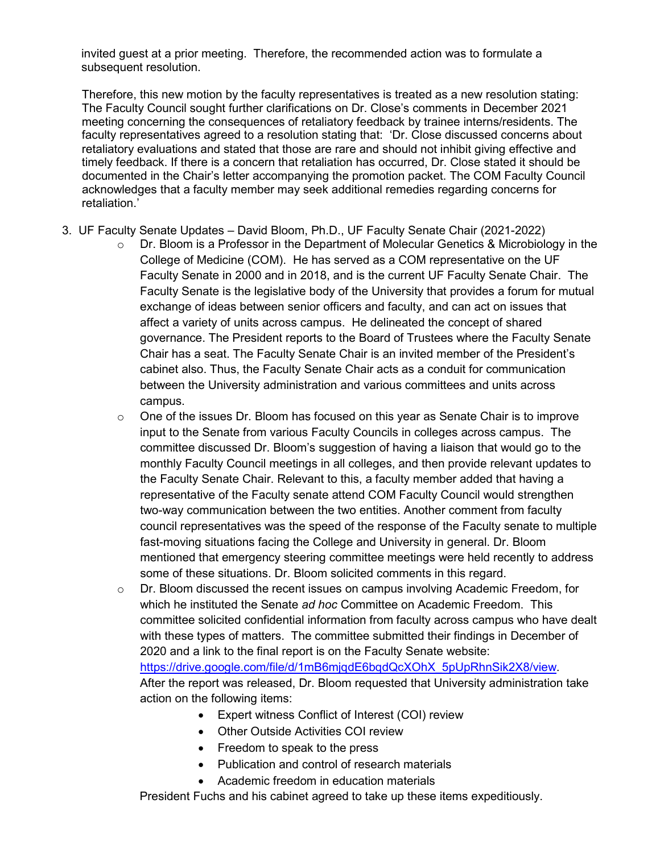invited guest at a prior meeting. Therefore, the recommended action was to formulate a subsequent resolution.

 Therefore, this new motion by the faculty representatives is treated as a new resolution stating: The Faculty Council sought further clarifications on Dr. Close's comments in December 2021 meeting concerning the consequences of retaliatory feedback by trainee interns/residents. The faculty representatives agreed to a resolution stating that: 'Dr. Close discussed concerns about retaliatory evaluations and stated that those are rare and should not inhibit giving effective and timely feedback. If there is a concern that retaliation has occurred, Dr. Close stated it should be documented in the Chair's letter accompanying the promotion packet. The COM Faculty Council acknowledges that a faculty member may seek additional remedies regarding concerns for retaliation.'

- 3. UF Faculty Senate Updates David Bloom, Ph.D., UF Faculty Senate Chair (2021-2022)
	- $\circ$  Dr. Bloom is a Professor in the Department of Molecular Genetics & Microbiology in the College of Medicine (COM). He has served as a COM representative on the UF Faculty Senate in 2000 and in 2018, and is the current UF Faculty Senate Chair. The Faculty Senate is the legislative body of the University that provides a forum for mutual exchange of ideas between senior officers and faculty, and can act on issues that affect a variety of units across campus. He delineated the concept of shared governance. The President reports to the Board of Trustees where the Faculty Senate Chair has a seat. The Faculty Senate Chair is an invited member of the President's cabinet also. Thus, the Faculty Senate Chair acts as a conduit for communication between the University administration and various committees and units across campus.
	- $\circ$  One of the issues Dr. Bloom has focused on this year as Senate Chair is to improve input to the Senate from various Faculty Councils in colleges across campus. The committee discussed Dr. Bloom's suggestion of having a liaison that would go to the monthly Faculty Council meetings in all colleges, and then provide relevant updates to the Faculty Senate Chair. Relevant to this, a faculty member added that having a representative of the Faculty senate attend COM Faculty Council would strengthen two-way communication between the two entities. Another comment from faculty council representatives was the speed of the response of the Faculty senate to multiple fast-moving situations facing the College and University in general. Dr. Bloom mentioned that emergency steering committee meetings were held recently to address some of these situations. Dr. Bloom solicited comments in this regard.
	- $\circ$  Dr. Bloom discussed the recent issues on campus involving Academic Freedom, for which he instituted the Senate *ad hoc* Committee on Academic Freedom. This committee solicited confidential information from faculty across campus who have dealt with these types of matters. The committee submitted their findings in December of 2020 and a link to the final report is on the Faculty Senate website: [https://drive.google.com/file/d/1mB6mjqdE6bqdQcXOhX\\_5pUpRhnSik2X8/view.](https://drive.google.com/file/d/1mB6mjqdE6bqdQcXOhX_5pUpRhnSik2X8/view) After the report was released, Dr. Bloom requested that University administration take action on the following items:
		- Expert witness Conflict of Interest (COI) review
		- Other Outside Activities COI review
		- Freedom to speak to the press
		- Publication and control of research materials
		- Academic freedom in education materials

President Fuchs and his cabinet agreed to take up these items expeditiously.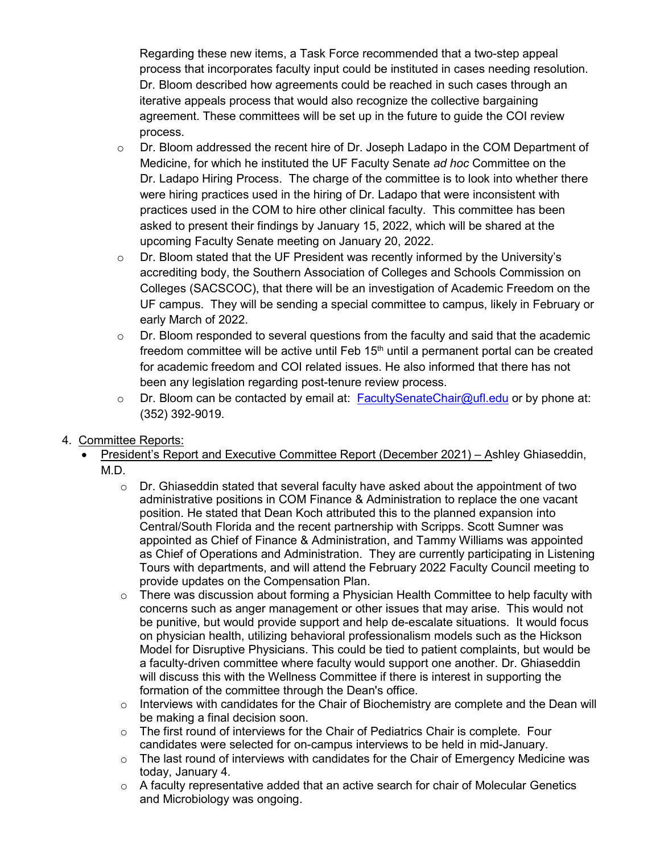Regarding these new items, a Task Force recommended that a two-step appeal process that incorporates faculty input could be instituted in cases needing resolution. Dr. Bloom described how agreements could be reached in such cases through an iterative appeals process that would also recognize the collective bargaining agreement. These committees will be set up in the future to guide the COI review process.

- $\circ$  Dr. Bloom addressed the recent hire of Dr. Joseph Ladapo in the COM Department of Medicine, for which he instituted the UF Faculty Senate *ad hoc* Committee on the Dr. Ladapo Hiring Process. The charge of the committee is to look into whether there were hiring practices used in the hiring of Dr. Ladapo that were inconsistent with practices used in the COM to hire other clinical faculty. This committee has been asked to present their findings by January 15, 2022, which will be shared at the upcoming Faculty Senate meeting on January 20, 2022.
- $\circ$  Dr. Bloom stated that the UF President was recently informed by the University's accrediting body, the Southern Association of Colleges and Schools Commission on Colleges (SACSCOC), that there will be an investigation of Academic Freedom on the UF campus. They will be sending a special committee to campus, likely in February or early March of 2022.
- $\circ$  Dr. Bloom responded to several questions from the faculty and said that the academic freedom committee will be active until Feb  $15<sup>th</sup>$  until a permanent portal can be created for academic freedom and COI related issues. He also informed that there has not been any legislation regarding post-tenure review process.
- $\circ$  Dr. Bloom can be contacted by email at: [FacultySenateChair@ufl.edu](mailto:FacultySenateChair@ufl.edu) or by phone at: (352) 392-9019.
- 4. Committee Reports:
	- President's Report and Executive Committee Report (December 2021) Ashley Ghiaseddin, M.D.
		- $\circ$  Dr. Ghiaseddin stated that several faculty have asked about the appointment of two administrative positions in COM Finance & Administration to replace the one vacant position. He stated that Dean Koch attributed this to the planned expansion into Central/South Florida and the recent partnership with Scripps. Scott Sumner was appointed as Chief of Finance & Administration, and Tammy Williams was appointed as Chief of Operations and Administration. They are currently participating in Listening Tours with departments, and will attend the February 2022 Faculty Council meeting to provide updates on the Compensation Plan.
		- $\circ$  There was discussion about forming a Physician Health Committee to help faculty with concerns such as anger management or other issues that may arise. This would not be punitive, but would provide support and help de-escalate situations. It would focus on physician health, utilizing behavioral professionalism models such as the Hickson Model for Disruptive Physicians. This could be tied to patient complaints, but would be a faculty-driven committee where faculty would support one another. Dr. Ghiaseddin will discuss this with the Wellness Committee if there is interest in supporting the formation of the committee through the Dean's office.
		- $\circ$  Interviews with candidates for the Chair of Biochemistry are complete and the Dean will be making a final decision soon.
		- o The first round of interviews for the Chair of Pediatrics Chair is complete. Four candidates were selected for on-campus interviews to be held in mid-January.
		- $\circ$  The last round of interviews with candidates for the Chair of Emergency Medicine was today, January 4.
		- $\circ$  A faculty representative added that an active search for chair of Molecular Genetics and Microbiology was ongoing.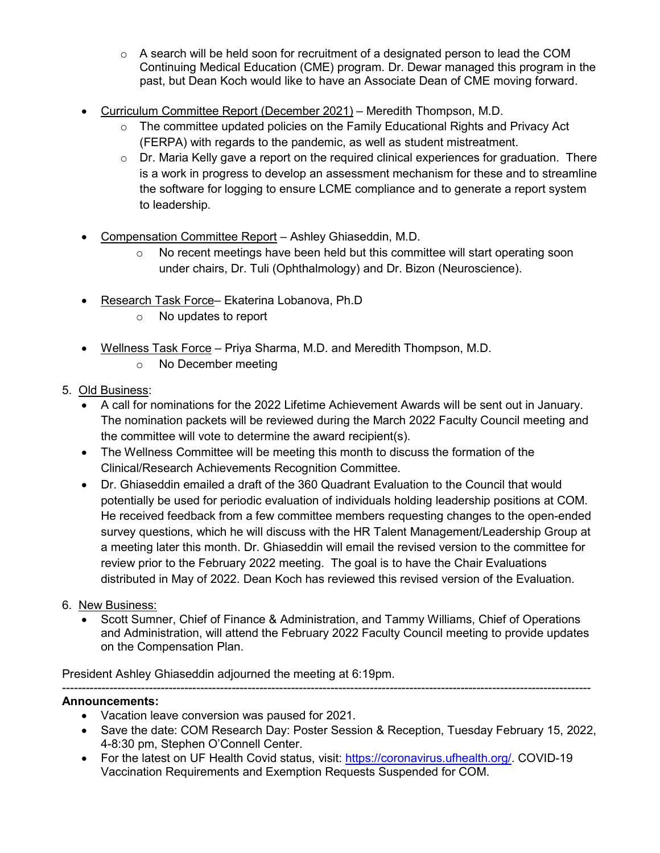- $\circ$  A search will be held soon for recruitment of a designated person to lead the COM Continuing Medical Education (CME) program. Dr. Dewar managed this program in the past, but Dean Koch would like to have an Associate Dean of CME moving forward.
- Curriculum Committee Report (December 2021) Meredith Thompson, M.D.
	- o The committee updated policies on the Family Educational Rights and Privacy Act (FERPA) with regards to the pandemic, as well as student mistreatment.
	- $\circ$  Dr. Maria Kelly gave a report on the required clinical experiences for graduation. There is a work in progress to develop an assessment mechanism for these and to streamline the software for logging to ensure LCME compliance and to generate a report system to leadership.
- Compensation Committee Report Ashley Ghiaseddin, M.D.
	- $\circ$  No recent meetings have been held but this committee will start operating soon under chairs, Dr. Tuli (Ophthalmology) and Dr. Bizon (Neuroscience).
- Research Task Force- Ekaterina Lobanova, Ph.D
	- o No updates to report
- Wellness Task Force Priya Sharma, M.D. and Meredith Thompson, M.D.
	- o No December meeting
- 5. Old Business:
	- A call for nominations for the 2022 Lifetime Achievement Awards will be sent out in January. The nomination packets will be reviewed during the March 2022 Faculty Council meeting and the committee will vote to determine the award recipient(s).
	- The Wellness Committee will be meeting this month to discuss the formation of the Clinical/Research Achievements Recognition Committee.
	- Dr. Ghiaseddin emailed a draft of the 360 Quadrant Evaluation to the Council that would potentially be used for periodic evaluation of individuals holding leadership positions at COM. He received feedback from a few committee members requesting changes to the open-ended survey questions, which he will discuss with the HR Talent Management/Leadership Group at a meeting later this month. Dr. Ghiaseddin will email the revised version to the committee for review prior to the February 2022 meeting. The goal is to have the Chair Evaluations distributed in May of 2022. Dean Koch has reviewed this revised version of the Evaluation.
- 6. New Business:
	- Scott Sumner, Chief of Finance & Administration, and Tammy Williams, Chief of Operations and Administration, will attend the February 2022 Faculty Council meeting to provide updates on the Compensation Plan.

President Ashley Ghiaseddin adjourned the meeting at 6:19pm.

### -------------------------------------------------------------------------------------------------------------------------------------- **Announcements:**

- Vacation leave conversion was paused for 2021.
- Save the date: COM Research Day: Poster Session & Reception, Tuesday February 15, 2022, 4-8:30 pm, Stephen O'Connell Center.
- For the latest on UF Health Covid status, visit: [https://coronavirus.ufhealth.org/.](https://coronavirus.ufhealth.org/) COVID-19 Vaccination Requirements and Exemption Requests Suspended for COM.